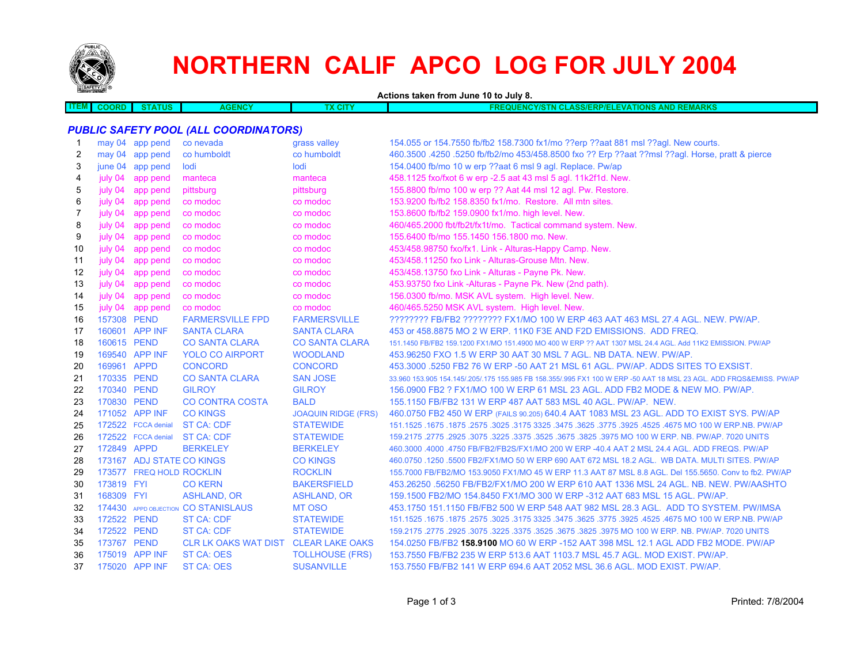

# **NORTHERN CALIF APCO LOG FOR JULY 2004**

**Actions taken from June 10 to July 8.**

| <b>ITEM</b> | COORF | <b>TATUS</b> | 5NG. | $\sim$ | <b>LASS/ERP/ELEVATIONS AND REMARKS</b><br>17377<br>חות |
|-------------|-------|--------------|------|--------|--------------------------------------------------------|
|             |       |              |      |        |                                                        |

# *PUBLIC SAFETY POOL (ALL COORDINATORS)*

|     |             | may 04 app pend           | co nevada                            | grass valley               | 154.055 or 154.7550 fb/fb2 158.7300 fx1/mo ??erp ??aat 881 msl ??agl. New courts.                                   |
|-----|-------------|---------------------------|--------------------------------------|----------------------------|---------------------------------------------------------------------------------------------------------------------|
| 2   |             | may 04 app pend           | co humboldt                          | co humboldt                | 460.3500 .4250 .5250 fb/fb2/mo 453/458.8500 fxo ?? Erp ??aat ??msl ??agl. Horse, pratt & pierce                     |
| 3   |             | june 04 app pend          | lodi                                 | lodi                       | 154.0400 fb/mo 10 w erp ??aat 6 msl 9 agl. Replace. Pw/ap                                                           |
| 4   | july 04     | app pend                  | manteca                              | manteca                    | 458.1125 fxo/fxot 6 w erp -2.5 aat 43 msl 5 agl. 11k2f1d. New.                                                      |
| 5   | july 04     | app pend                  | pittsburg                            | pittsburg                  | 155.8800 fb/mo 100 w erp ?? Aat 44 msl 12 agl. Pw. Restore.                                                         |
| 6   | july 04     | app pend                  | co modoc                             | co modoc                   | 153.9200 fb/fb2 158.8350 fx1/mo. Restore. All mtn sites.                                                            |
| 7   | july 04     | app pend                  | co modoc                             | co modoc                   | 153.8600 fb/fb2 159.0900 fx1/mo. high level. New.                                                                   |
| 8   | july 04     | app pend                  | co modoc                             | co modoc                   | 460/465.2000 fbt/fb2t/fx1t/mo. Tactical command system. New.                                                        |
| 9   | july 04     | app pend                  | co modoc                             | co modoc                   | 155.6400 fb/mo 155.1450 156.1800 mo. New.                                                                           |
| 10  | july 04     | app pend                  | co modoc                             | co modoc                   | 453/458.98750 fxo/fx1. Link - Alturas-Happy Camp. New.                                                              |
| 11  | july 04     | app pend                  | co modoc                             | co modoc                   | 453/458.11250 fxo Link - Alturas-Grouse Mtn. New.                                                                   |
| 12  | july 04     | app pend                  | co modoc                             | co modoc                   | 453/458.13750 fxo Link - Alturas - Payne Pk. New.                                                                   |
| 13  | july 04     | app pend                  | co modoc                             | co modoc                   | 453.93750 fxo Link -Alturas - Payne Pk. New (2nd path).                                                             |
| 14  | july 04     | app pend                  | co modoc                             | co modoc                   | 156.0300 fb/mo. MSK AVL system. High level. New.                                                                    |
| 15  | july 04     | app pend                  | co modoc                             | co modoc                   | 460/465.5250 MSK AVL system. High level. New.                                                                       |
| 16  | 157308 PEND |                           | <b>FARMERSVILLE FPD</b>              | <b>FARMERSVILLE</b>        | ???????? FB/FB2 ???????? FX1/MO 100 W ERP 463 AAT 463 MSL 27.4 AGL. NEW. PW/AP.                                     |
| 17  |             | 160601 APP INF            | <b>SANTA CLARA</b>                   | <b>SANTA CLARA</b>         | 453 or 458.8875 MO 2 W ERP. 11K0 F3E AND F2D EMISSIONS. ADD FREQ.                                                   |
| 18  | 160615 PEND |                           | <b>CO SANTA CLARA</b>                | <b>CO SANTA CLARA</b>      | 151.1450 FB/FB2 159.1200 FX1/MO 151.4900 MO 400 W ERP ?? AAT 1307 MSL 24.4 AGL. Add 11K2 EMISSION. PW/AP            |
| 19  |             | 169540 APP INF            | <b>YOLO CO AIRPORT</b>               | <b>WOODLAND</b>            | 453.96250 FXO 1.5 W ERP 30 AAT 30 MSL 7 AGL. NB DATA. NEW. PW/AP.                                                   |
| 20  | 169961 APPD |                           | <b>CONCORD</b>                       | <b>CONCORD</b>             | 453.3000 .5250 FB2 76 W ERP -50 AAT 21 MSL 61 AGL. PW/AP. ADDS SITES TO EXSIST.                                     |
| 21  | 170335 PEND |                           | <b>CO SANTA CLARA</b>                | <b>SAN JOSE</b>            | 33.960 153.905 154.145/.205/.175 155.985 FB 158.355/.995 FX1 100 W ERP -50 AAT 18 MSL 23 AGL. ADD FRQS&EMISS. PW/AP |
| 22  | 170340 PEND |                           | <b>GILROY</b>                        | <b>GILROY</b>              | 156,0900 FB2 ? FX1/MO 100 W ERP 61 MSL 23 AGL, ADD FB2 MODE & NEW MO, PW/AP.                                        |
| 23  | 170830 PEND |                           | <b>CO CONTRA COSTA</b>               | <b>BALD</b>                | 155.1150 FB/FB2 131 W ERP 487 AAT 583 MSL 40 AGL, PW/AP, NEW.                                                       |
| 24  |             | 171052 APP INF            | <b>CO KINGS</b>                      | <b>JOAQUIN RIDGE (FRS)</b> | 460.0750 FB2 450 W ERP (FAILS 90.205) 640.4 AAT 1083 MSL 23 AGL. ADD TO EXIST SYS. PW/AP                            |
| 25  |             | 172522 FCCA denial        | <b>ST CA: CDF</b>                    | <b>STATEWIDE</b>           | 151.1525 .1675 .1875 .2575 .3025 .3175 .3625 .3775 .3625 .3775 .3925 .4625 .4675 .1675 .1675 .1877 .1525 .1679      |
| 26  |             | 172522 FCCA denial        | ST CA: CDF                           | <b>STATEWIDE</b>           | 159.2175 .2775 .2925 .3075 .3225 .3675 .3825 .3975 MO 100 W ERP. NB. PW/AP. 7020 UNITS                              |
| 27  | 172849 APPD |                           | <b>BERKELEY</b>                      | <b>BERKELEY</b>            | 460.3000 .4000 .4750 FB/FB2/FB2S/FX1/MO 200 W ERP -40.4 AAT 2 MSL 24.4 AGL. ADD FREQS. PW/AP                        |
| 28  |             | 173167 ADJ STATE CO KINGS |                                      | <b>CO KINGS</b>            | 460.0750 .1250 .5500 FB2/FX1/MO 50 W ERP 690 AAT 672 MSL 18.2 AGL. WB DATA. MULTI SITES. PW/AP                      |
| 29  |             | 173577 FREQ HOLD ROCKLIN  |                                      | <b>ROCKLIN</b>             | 155.7000 FB/FB2/MO 153.9050 FX1/MO 45 W ERP 11.3 AAT 87 MSL 8.8 AGL. Del 155.5650. Conv to fb2. PW/AP               |
| 30  | 173819 FYI  |                           | <b>CO KERN</b>                       | <b>BAKERSFIELD</b>         | 453.26250 .56250 FB/FB2/FX1/MO 200 W ERP 610 AAT 1336 MSL 24 AGL. NB. NEW. PW/AASHTO                                |
| -31 | 168309 FYI  |                           | <b>ASHLAND, OR</b>                   | <b>ASHLAND, OR</b>         | 159.1500 FB2/MO 154.8450 FX1/MO 300 W ERP -312 AAT 683 MSL 15 AGL. PW/AP.                                           |
| 32  |             |                           | 174430 APPD OBJECTION CO STANISLAUS  | MT OSO                     | 453.1750 151.1150 FB/FB2 500 W ERP 548 AAT 982 MSL 28.3 AGL. ADD TO SYSTEM. PW/IMSA                                 |
| 33  | 172522 PEND |                           | <b>ST CA: CDF</b>                    | <b>STATEWIDE</b>           | 151.1525 .1675 .1875 .3025 .3175 .3625 .3775 .3925 .3775 .3925 .3475 .3929 .4675 .1675 .1675 .1877 .1525 .1679      |
| 34  | 172522 PEND |                           | ST CA: CDF                           | <b>STATEWIDE</b>           | 159.2175 .2775 .2925 .3075 .3225 .3675 .3675 .3825 .3975 MO 100 W ERP. NB. PW/AP. 7020 UNITS                        |
| 35  | 173767 PEND |                           | CLR LK OAKS WAT DIST CLEAR LAKE OAKS |                            | 154.0250 FB/FB2 158.9100 MO 60 W ERP -152 AAT 398 MSL 12.1 AGL ADD FB2 MODE. PW/AP                                  |
| 36  |             | 175019 APP INF            | <b>ST CA: OES</b>                    | <b>TOLLHOUSE (FRS)</b>     | 153.7550 FB/FB2 235 W ERP 513.6 AAT 1103.7 MSL 45.7 AGL. MOD EXIST. PW/AP.                                          |
| 37  |             | 175020 APP INF            | <b>ST CA: OES</b>                    | <b>SUSANVILLE</b>          | 153.7550 FB/FB2 141 W ERP 694.6 AAT 2052 MSL 36.6 AGL. MOD EXIST. PW/AP.                                            |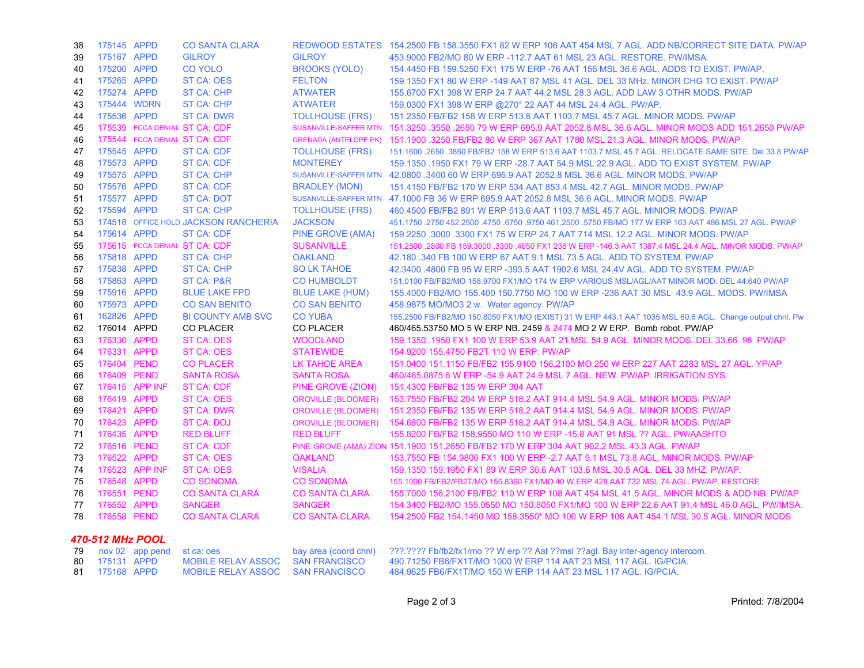| 38               | 175145 APPD |                 | <b>CO SANTA CLARA</b>                   |                                               | REDWOOD ESTATES 154.2500 FB 158.3550 FX1 82 W ERP 106 AAT 454 MSL 7 AGL. ADD NB/CORRECT SITE DATA. PW/AP                                            |  |
|------------------|-------------|-----------------|-----------------------------------------|-----------------------------------------------|-----------------------------------------------------------------------------------------------------------------------------------------------------|--|
| 39               | 175167 APPD |                 | <b>GILROY</b>                           | <b>GILROY</b>                                 | 453,9000 FB2/MO 80 W ERP -112.7 AAT 61 MSL 23 AGL, RESTORE, PW/IMSA.                                                                                |  |
| 40               | 175200 APPD |                 | <b>CO YOLO</b>                          | <b>BROOKS (YOLO)</b>                          | 154.4450 FB 159.5250 FX1 175 W ERP -76 AAT 156 MSL 36.6 AGL. ADDS TO EXIST. PW/AP.                                                                  |  |
| 41               | 175265 APPD |                 | ST CA: OES                              | <b>FELTON</b>                                 | 159.1350 FX1 80 W ERP -149 AAT 87 MSL 41 AGL, DEL 33 MHz, MINOR CHG TO EXIST, PW/AP                                                                 |  |
| 42               | 175274 APPD |                 | <b>ST CA: CHP</b>                       | <b>ATWATER</b>                                | 155.6700 FX1 398 W ERP 24.7 AAT 44.2 MSL 28.3 AGL. ADD LAW 3 OTHR MODS. PW/AP                                                                       |  |
| 43               | 175444 WDRN |                 | <b>ST CA: CHP</b>                       | <b>ATWATER</b>                                | 159.0300 FX1 398 W ERP @270° 22 AAT 44 MSL 24.4 AGL. PW/AP.                                                                                         |  |
| 44               | 175536 APPD |                 | <b>ST CA: DWR</b>                       | <b>TOLLHOUSE (FRS)</b>                        | 151.2350 FB/FB2 158 W ERP 513.6 AAT 1103.7 MSL 45.7 AGL. MINOR MODS. PW/AP                                                                          |  |
| 45               |             |                 | 175539 FCCA DENIAL ST CA: CDF           |                                               | SUSANVILLE-SAFFER MTN 151,3250 .3550 .2650 79 W ERP 695.9 AAT 2052.8 MSL 36.6 AGL, MINOR MODS ADD 151,2650 PW/AP                                    |  |
| 46               |             |                 | 175544 FCCA DENIAL ST CA: CDF           |                                               | GRENADA (ANTELOPE PK) 151.1900 .3250 FB/FB2 80 W ERP 367 AAT 1780 MSL 21.3 AGL. MINOR MODS. PW/AP                                                   |  |
| 47               | 175545 APPD |                 | <b>ST CA: CDF</b>                       | <b>TOLLHOUSE (FRS)</b>                        | 151.1600 .2650 .3850 FB/FB2 158 W ERP 513.6 AAT 1103.7 MSL 45.7 AGL. RELOCATE SAME SITE. Del 33.8 PW/AP                                             |  |
| 48               | 175573 APPD |                 | <b>ST CA: CDF</b>                       | <b>MONTEREY</b>                               | 159.1350 .1950 FX1 79 W ERP -28.7 AAT 54.9 MSL 22.9 AGL. ADD TO EXIST SYSTEM. PW/AP                                                                 |  |
| 49               | 175575 APPD |                 | <b>ST CA: CHP</b>                       |                                               | SUSANVILLE-SAFFER MTN 42,0800 .3400 60 W ERP 695.9 AAT 2052.8 MSL 36.6 AGL. MINOR MODS. PW/AP                                                       |  |
| 50               | 175576 APPD |                 | <b>ST CA: CDF</b>                       | <b>BRADLEY (MON)</b>                          | 151.4150 FB/FB2 170 W ERP 534 AAT 853.4 MSL 42.7 AGL. MINOR MODS. PW/AP                                                                             |  |
| 51               | 175577 APPD |                 | <b>ST CA: DOT</b>                       |                                               | SUSANVILLE-SAFFER MTN 47.1000 FB 36 W ERP 695.9 AAT 2052.8 MSL 36.6 AGL. MINOR MODS. PW/AP                                                          |  |
| 52               | 175594 APPD |                 | <b>ST CA: CHP</b>                       | <b>TOLLHOUSE (FRS)</b>                        | 460.4500 FB/FB2 891 W ERP 513.6 AAT 1103.7 MSL 45.7 AGL. MINIOR MODS. PW/AP                                                                         |  |
| 53               |             |                 | 174518 OFFICE HOLD JACKSON RANCHERIA    | <b>JACKSON</b>                                | 451.1750 .2750 452.2500 .4750 .6750 .9750 461.2500 .5750 FB/MO 177 W ERP 163 AAT 486 MSL 27 AGL. PW/AP                                              |  |
| 54               | 175614 APPD |                 | <b>ST CA: CDF</b>                       | <b>PINE GROVE (AMA)</b>                       | 159.2250 .3000 .3300 FX1 75 W ERP 24.7 AAT 714 MSL 12.2 AGL. MINOR MODS. PW/AP                                                                      |  |
| 55               |             |                 | 175615 FCCA DENIAL ST CA: CDF           | <b>SUSANVILLE</b>                             | 151.2500 .2800 FB 159.3000 .3300 .4050 FX1 238 W ERP -146.3 AAT 1387.4 MSL 24.4 AGL. MINOR MODS. PW/AP                                              |  |
| 56               | 175818 APPD |                 | ST CA: CHP                              | <b>OAKLAND</b>                                | 42.180 .340 FB 100 W ERP 67 AAT 9.1 MSL 73.5 AGL. ADD TO SYSTEM. PW/AP                                                                              |  |
| 57               | 175838 APPD |                 | <b>ST CA: CHP</b>                       | <b>SO LK TAHOE</b>                            | 42.3400 .4800 FB 95 W ERP -393.5 AAT 1902.6 MSL 24.4V AGL. ADD TO SYSTEM. PW/AP                                                                     |  |
| 58               | 175863 APPD |                 | ST CA: P&R                              | <b>CO HUMBOLDT</b>                            | 151.0100 FB/FB2/MO 158.9700 FX1/MO 174 W ERP VARIOUS MSL/AGL/AAT MINOR MOD. DEL 44.640 PW/AP                                                        |  |
| 59               | 175916 APPD |                 | <b>BLUE LAKE FPD</b>                    | <b>BLUE LAKE (HUM)</b>                        | 155.4000 FB2/MO 155.400 150.7750 MO 100 W ERP -236 AAT 30 MSL 43.9 AGL. MODS. PW/IMSA                                                               |  |
| 60               | 175973 APPD |                 | <b>CO SAN BENITO</b>                    | <b>CO SAN BENITO</b>                          | 458.9875 MO/MO3 2 w. Water agency. PW/AP                                                                                                            |  |
| 61               | 162826 APPD |                 | <b>BI COUNTY AMB SVC</b>                | <b>CO YUBA</b>                                | 155.2500 FB/FB2/MO 150.8050 FX1/MO (EXIST) 31 W ERP 443.1 AAT 1035 MSL 60.6 AGL. Change output chnl. Pw                                             |  |
| 62               | 176014 APPD |                 | <b>CO PLACER</b>                        | <b>CO PLACER</b>                              | 460/465.53750 MO 5 W ERP NB. 2459 & 2474 MO 2 W ERP. Bomb robot. PW/AP                                                                              |  |
| 63               | 176330 APPD |                 | <b>ST CA: OES</b>                       | <b>WOODLAND</b>                               | 159.1350 .1950 FX1 100 W ERP 53.9 AAT 21 MSL 54.9 AGL. MINOR MODS. DEL 33.66 .98 PW/AP                                                              |  |
| 64               | 176331 APPD |                 | ST CA: OES                              | <b>STATEWIDE</b>                              | 154.9200 155.4750 FB2T 110 W ERP. PW/AP                                                                                                             |  |
| 65               | 176404 PEND |                 | <b>CO PLACER</b>                        | <b>LK TAHOE AREA</b>                          | 151.0400 151.1150 FB/FB2 155.9100 156.2100 MO 250 W ERP 227 AAT 2283 MSL 27 AGL. YP/AP                                                              |  |
| 66               | 176409 PEND |                 | <b>SANTA ROSA</b>                       | <b>SANTA ROSA</b>                             | 460/465.0875 6 W ERP -54.9 AAT 24.9 MSL 7 AGL. NEW. PW/AP. IRRIGATION SYS.                                                                          |  |
| 67               |             | 176415 APP INF  | <b>ST CA: CDF</b>                       | PINE GROVE (ZION)                             | 151.4300 FB/FB2 135 W ERP 304 AAT                                                                                                                   |  |
| 68               | 176419 APPD |                 | ST CA: OES                              | <b>OROVILLE (BLOOMER)</b>                     | 153.7550 FB/FB2 204 W ERP 518.2 AAT 914.4 MSL 54.9 AGL. MINOR MODS. PW/AP                                                                           |  |
| 69               | 176421 APPD |                 | <b>ST CA: DWR</b>                       | <b>OROVILLE (BLOOMER)</b>                     | 151.2350 FB/FB2 135 W ERP 518.2 AAT 914.4 MSL 54.9 AGL. MINOR MODS. PW/AP                                                                           |  |
| 70               | 176423 APPD |                 | <b>ST CA: DOJ</b>                       | <b>OROVILLE (BLOOMER)</b>                     | 154.6800 FB/FB2 135 W ERP 518.2 AAT 914.4 MSL 54.9 AGL. MINOR MODS. PW/AP                                                                           |  |
| 71               | 176435 APPD |                 | <b>RED BLUFF</b>                        | <b>RED BLUFF</b>                              | 155.8200 FB/FB2 158.9550 MO 110 W ERP -15.8 AAT 91 MSL ?? AGL. PW/AASHTO                                                                            |  |
| 72               | 176516 PEND |                 | <b>ST CA: CDF</b>                       |                                               | PINE GROVE (AMA) ZION 151.1900 151.2650 FB/FB2 170 W ERP 304 AAT 902.2 MSL 43.3 AGL. PW/AP                                                          |  |
| 73               | 176522 APPD |                 | <b>ST CA: OES</b>                       | <b>OAKLAND</b>                                | 153.7550 FB 154.9800 FX1 100 W ERP -2.7 AAT 9.1 MSL 73.8 AGL. MINOR MODS. PW/AP                                                                     |  |
| 74               |             | 176523 APP INF  | <b>ST CA: OES</b>                       | <b>VISALIA</b>                                | 159.1350 159.1950 FX1 89 W ERP 36.6 AAT 103.6 MSL 30.5 AGL, DEL 33 MHZ, PW/AP.                                                                      |  |
| 75               | 176548 APPD |                 | <b>CO SONOMA</b>                        | <b>CO SONOMA</b>                              | 155.1000 FB/FB2/FB2T/MO 155.8350 FX1/MO 40 W ERP 428 AAT 732 MSL 74 AGL. PW/AP. RESTORE                                                             |  |
| 76               | 176551 PEND |                 | <b>CO SANTA CLARA</b>                   | <b>CO SANTA CLARA</b>                         | 155,7000 156,2100 FB/FB2 110 W ERP 108 AAT 454 MSL 41.5 AGL, MINOR MODS & ADD NB, PW/AP                                                             |  |
| 77               | 176552 APPD |                 | <b>SANGER</b>                           | <b>SANGER</b>                                 | 154.3400 FB2/MO 155.0550 MO 150.8050 FX1/MO 100 W ERP 22.6 AAT 91.4 MSL 46.0 AGL. PW/IMSA.                                                          |  |
| 78               | 176558 PEND |                 | <b>CO SANTA CLARA</b>                   | <b>CO SANTA CLARA</b>                         | 154,2500 FB2 154,1450 MO 158,3550* MO 100 W ERP 108 AAT 454,1 MSL 30.5 AGL. MINOR MODS                                                              |  |
| 470-512 MHz POOL |             |                 |                                         |                                               |                                                                                                                                                     |  |
|                  |             |                 |                                         |                                               |                                                                                                                                                     |  |
| 79<br>80         | 175131 APPD | nov 02 app pend | st ca: oes<br><b>MOBILE RELAY ASSOC</b> | bay area (coord chnl)<br><b>SAN FRANCISCO</b> | ???.???? Fb/fb2/fx1/mo ?? W erp ?? Aat ??msl ??agl. Bay inter-agency intercom.<br>490.71250 FB6/FX1T/MO 1000 W ERP 114 AAT 23 MSL 117 AGL. IG/PCIA. |  |
| 81               | 175168 APPD |                 | <b>MOBILE RELAY ASSOC</b>               | <b>SAN FRANCISCO</b>                          | 484.9625 FB6/FX1T/MO 150 W ERP 114 AAT 23 MSL 117 AGL. IG/PCIA.                                                                                     |  |